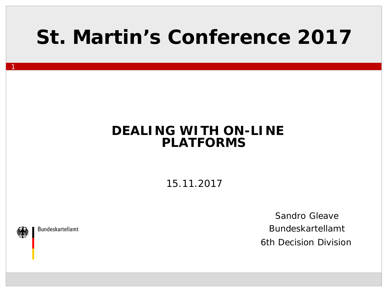#### **St. Martin's Conference 2017**

#### **DEALING WITH ON-LINE PLATFORMS**

15.11.2017

**Bundeskartellamt** 

1

Sandro Gleave Bundeskartellamt 6th Decision Division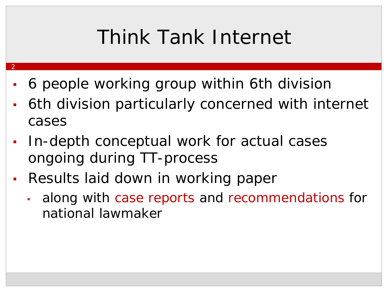## Think Tank Internet

- 6 people working group within 6th division
- **6th division particularly concerned with internet** cases
- In-depth conceptual work for actual cases ongoing during TT-process
- Results laid down in working paper

2

I along with case reports and recommendations for national lawmaker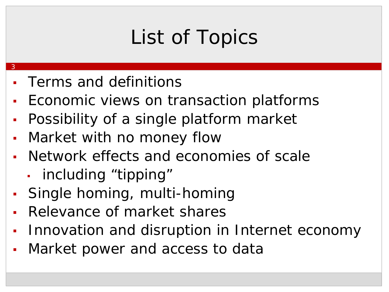# List of Topics

▪ Terms and definitions

- Economic views on transaction platforms
- **Possibility of a single platform market**
- Market with no money flow
- Network effects and economies of scale
	- including "tipping"
- Single homing, multi-homing
- Relevance of market shares
- Innovation and disruption in Internet economy
- Market power and access to data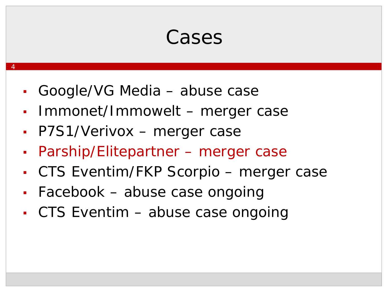#### **Cases**

- Google/VG Media abuse case
- Immonet/Immowelt merger case
- P7S1/Verivox merger case

- Parship/Elitepartner merger case
- CTS Eventim/FKP Scorpio merger case
- Facebook abuse case ongoing
- CTS Eventim abuse case ongoing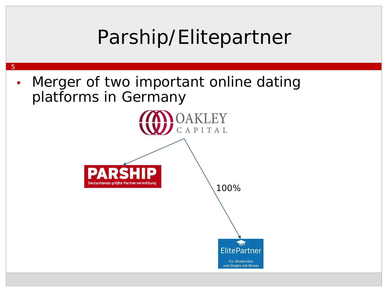

und Singles mit Niveau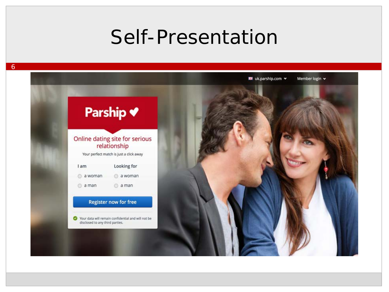#### Self-Presentation

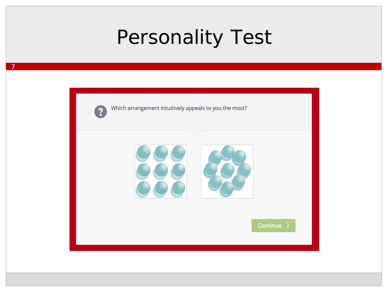#### Personality Test



7

Which arrangement intuitively appeals to you the most?



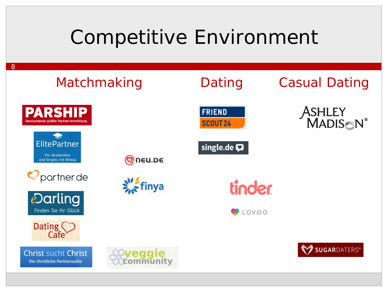#### Competitive Environment





SUGARDATERS®



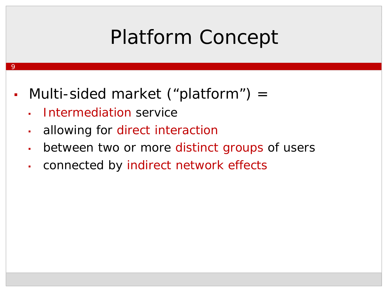## Platform Concept

- Multi-sided market ("platform") =
	- Intermediation service

- allowing for direct interaction
- **EXECT** between two or more distinct groups of users
- connected by indirect network effects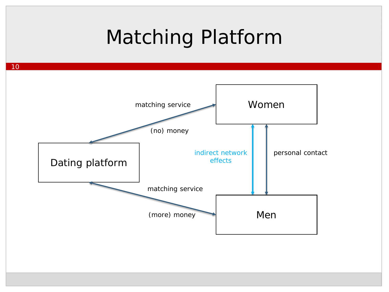#### Matching Platform

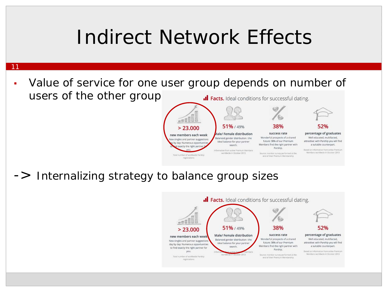#### Indirect Network Effects

- 11
	- Value of service for one user group depends on number of users of the other group .Il Facts. Ideal conditions for successful dating.

**SECOLUL** 

 $> 23.000$ 

new members each week

ew singles and partner suggestions

by day: Numerous opportunities

exactly the right partne

Total number of worldwide Parship

registrations

-> Internalizing strategy to balance group sizes



38%

success rate

Wonderful prospects of a shared

future: 38% of our Premium

Members find the right partner with

Parship.

Source: member survey performed at the

end of their Premium Membership

percentage of graduates

Well educated, multifacted,

attractive: with Parship you will find

a suitable counterpart.

Based on Information from active Premium

Members worldwide in October 2013

51%/49%

**Aale/Female distribution** 

Balanced gender distribution : the

ideal balance for your partner

search.

Information from active Premium Members

worldwide in October 2013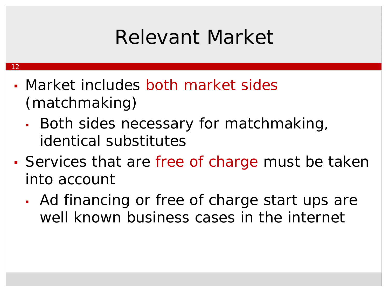## Relevant Market

▪ Market includes both market sides (matchmaking)

<u>12</u>

- **Both sides necessary for matchmaking,** identical substitutes
- Services that are free of charge must be taken into account
	- Ad financing or free of charge start ups are well known business cases in the internet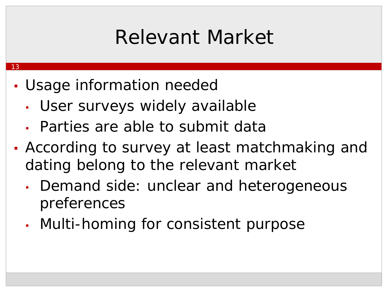## Relevant Market

• Usage information needed

<u> 13</u>

- User surveys widely available
- Parties are able to submit data
- According to survey at least matchmaking and dating belong to the relevant market
	- Demand side: unclear and heterogeneous preferences
	- Multi-homing for consistent purpose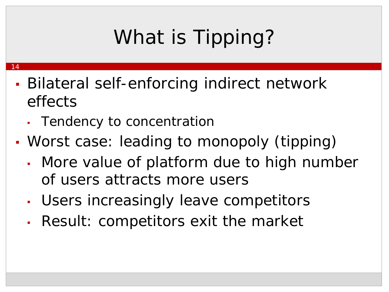# What is Tipping?

- **· Bilateral self-enforcing indirect network** effects
	- Tendency to concentration

- Worst case: leading to monopoly (tipping)
	- More value of platform due to high number of users attracts more users
	- Users increasingly leave competitors
	- Result: competitors exit the market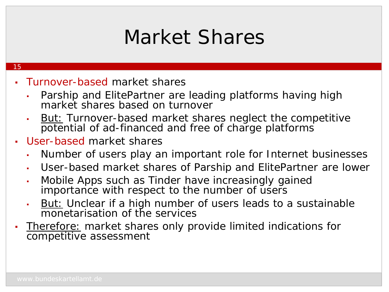#### Market Shares

- **Turnover-based market shares** 
	- Parship and ElitePartner are leading platforms having high market shares based on turnover
	- **But:** Turnover-based market shares neglect the competitive potential of ad-financed and free of charge platforms
- User-based market shares
	- Number of users play an important role for Internet businesses
	- User-based market shares of Parship and ElitePartner are lower
	- Mobile Apps such as Tinder have increasingly gained importance with respect to the number of users
	- But: Unclear if a high number of users leads to a sustainable monetarisation of the services
- **Therefore:** market shares only provide limited indications for competitive assessment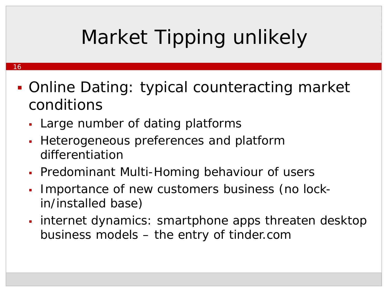# Market Tipping unlikely

- 16
- Online Dating: typical counteracting market conditions
	- Large number of dating platforms
	- Heterogeneous preferences and platform differentiation
	- **Predominant Multi-Homing behaviour of users**
	- Importance of new customers business (no lockin/installed base)
	- **internet dynamics: smartphone apps threaten desktop** business models – the entry of tinder.com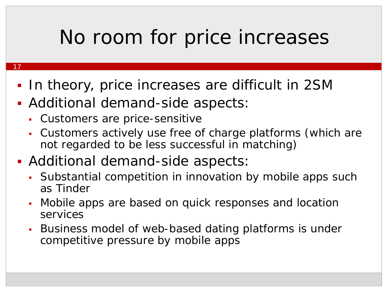#### No room for price increases

- 17
	- In theory, price increases are difficult in 2SM
- Additional demand-side aspects:
	- Customers are price-sensitive
	- Customers actively use free of charge platforms (which are not regarded to be less successful in matching)
- Additional demand-side aspects:
	- Substantial competition in innovation by mobile apps such as Tinder
	- Mobile apps are based on quick responses and location services
	- Business model of web-based dating platforms is under competitive pressure by mobile apps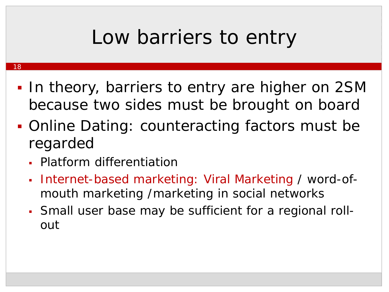#### Low barriers to entry

- **In theory, barriers to entry are higher on 2SM** because two sides must be brought on board
- Online Dating: counteracting factors must be regarded
	- Platform differentiation

- Internet-based marketing: Viral Marketing / word-ofmouth marketing /marketing in social networks
- Small user base may be sufficient for a regional rollout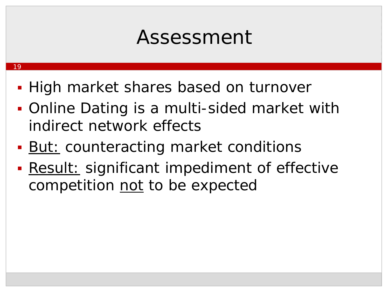#### Assessment

■ High market shares based on turnover

- **Online Dating is a multi-sided market with** indirect network effects
- **But: counteracting market conditions**
- **Result:** significant impediment of effective competition not to be expected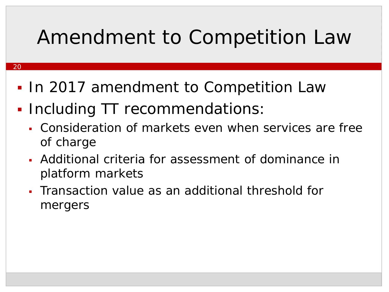## Amendment to Competition Law

- 20
	- **In 2017 amendment to Competition Law**
	- **Including TT recommendations:** 
		- Consideration of markets even when services are free of charge
		- Additional criteria for assessment of dominance in platform markets
		- Transaction value as an additional threshold for mergers